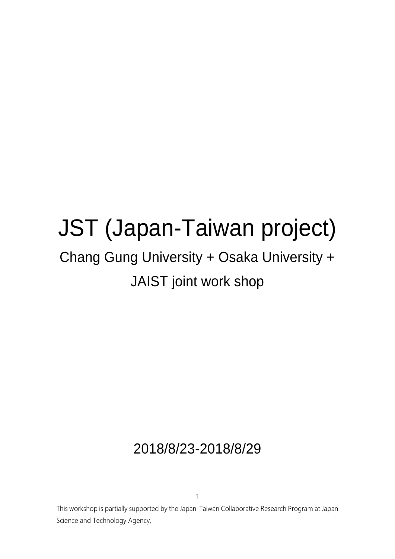# JST (Japan-Taiwan project)

## Chang Gung University + Osaka University + JAIST joint work shop

## 2018/8/23-2018/8/29

This workshop is partially supported by the Japan-Taiwan Collaborative Research Program at Japan Science and Technology Agency,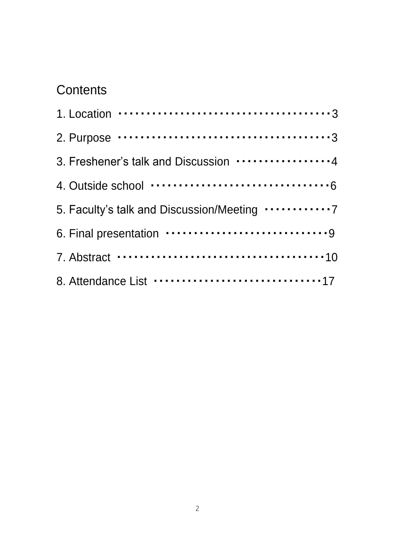## **Contents**

| 3. Freshener's talk and Discussion 4                |
|-----------------------------------------------------|
|                                                     |
| 5. Faculty's talk and Discussion/Meeting 7          |
|                                                     |
|                                                     |
| 8. Attendance List ······························17 |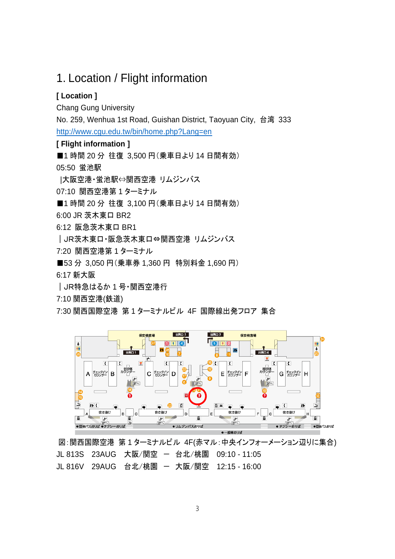### 1. Location / Flight information

#### **[ Location ]**

Chang Gung University

No. 259, Wenhua 1st Road, Guishan District, Taoyuan City, 台湾 333 <http://www.cgu.edu.tw/bin/home.php?Lang=en>

**[ Flight information ]**

■1 時間 20 分 往復 3,500 円 (乗車日より 14 日間有効)

05:50 蛍池駅

|大阪空港・蛍池駅⇔関西空港 リムジンバス

07:10 関西空港第 1 ターミナル

■1 時間 20 分 往復 3,100 円 (乗車日より 14 日間有効)

6:00 JR 茨木東口 BR2

6:12 阪急茨木東口 BR1

|JR茨木東口・阪急茨木東口⇔関西空港 リムジンバス

7:20 関西空港第 1 ターミナル

■53 分 3,050 円 (乗車券 1,360 円 特別料金 1,690 円)

6:17 新大阪

|JR特急はるか 1 号・関西空港行

7:10 関西空港(鉄道)

7:30 関西国際空港 第 1 ターミナルビル 4F 国際線出発フロア 集合



図:関西国際空港 第1ターミナルビル 4F(赤マル:中央インフォーメーション辺りに集合) JL 813S 23AUG 大阪/関空 - 台北/桃園 09:10 - 11:05 JL 816V 29AUG 台北/桃園 - 大阪/関空 12:15 - 16:00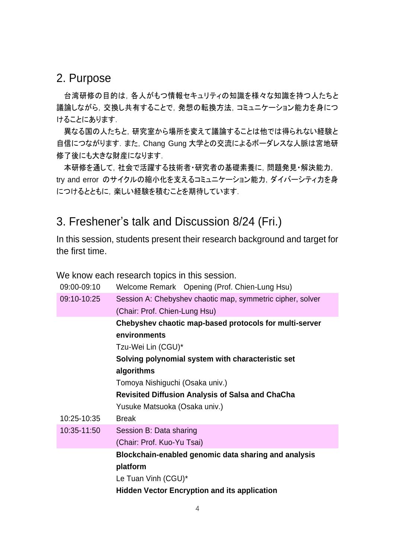### 2. Purpose

台湾研修の目的は,各人がもつ情報セキュリティの知識を様々な知識を持つ人たちと 議論しながら,交換し共有することで,発想の転換方法,コミュニケーション能力を身につ けることにあります.

異なる国の人たちと,研究室から場所を変えて議論することは他では得られない経験と 自信につながります. また, Chang Gung 大学との交流によるボーダレスな人脈は宮地研 修了後にも大きな財産になります.

本研修を通して,社会で活躍する技術者・研究者の基礎素養に,問題発見・解決能力, try and error のサイクルの縮小化を支えるコミュニケーション能力,ダイバーシティ力を身 につけるとともに, 楽しい経験を積むことを期待しています.

### 3. Freshener's talk and Discussion 8/24 (Fri.)

In this session, students present their research background and target for the first time.

We know each research topics in this session.

| 09:00-09:10 | Welcome Remark Opening (Prof. Chien-Lung Hsu)              |
|-------------|------------------------------------------------------------|
| 09:10-10:25 | Session A: Chebyshev chaotic map, symmetric cipher, solver |
|             | (Chair: Prof. Chien-Lung Hsu)                              |
|             | Chebyshev chaotic map-based protocols for multi-server     |
|             | environments                                               |
|             | Tzu-Wei Lin (CGU)*                                         |
|             | Solving polynomial system with characteristic set          |
|             | algorithms                                                 |
|             | Tomoya Nishiguchi (Osaka univ.)                            |
|             | <b>Revisited Diffusion Analysis of Salsa and ChaCha</b>    |
|             | Yusuke Matsuoka (Osaka univ.)                              |
| 10:25-10:35 | <b>Break</b>                                               |
| 10:35-11:50 | Session B: Data sharing                                    |
|             | (Chair: Prof. Kuo-Yu Tsai)                                 |
|             | Blockchain-enabled genomic data sharing and analysis       |
|             | platform                                                   |
|             | Le Tuan Vinh (CGU)*                                        |
|             |                                                            |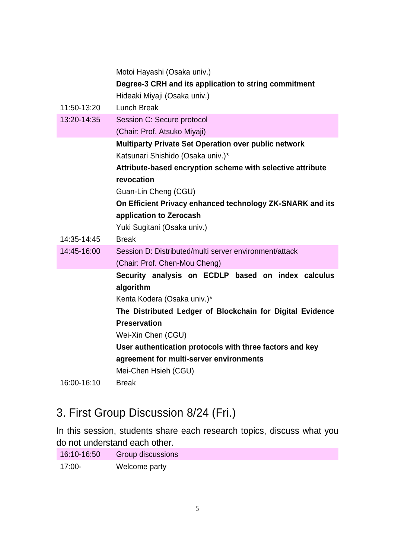|             | Motoi Hayashi (Osaka univ.)                                 |
|-------------|-------------------------------------------------------------|
|             | Degree-3 CRH and its application to string commitment       |
|             | Hideaki Miyaji (Osaka univ.)                                |
| 11:50-13:20 | <b>Lunch Break</b>                                          |
| 13:20-14:35 | Session C: Secure protocol                                  |
|             | (Chair: Prof. Atsuko Miyaji)                                |
|             | <b>Multiparty Private Set Operation over public network</b> |
|             | Katsunari Shishido (Osaka univ.)*                           |
|             | Attribute-based encryption scheme with selective attribute  |
|             | revocation                                                  |
|             | Guan-Lin Cheng (CGU)                                        |
|             | On Efficient Privacy enhanced technology ZK-SNARK and its   |
|             | application to Zerocash                                     |
|             | Yuki Sugitani (Osaka univ.)                                 |
| 14:35-14:45 | <b>Break</b>                                                |
| 14:45-16:00 | Session D: Distributed/multi server environment/attack      |
|             | (Chair: Prof. Chen-Mou Cheng)                               |
|             | Security analysis on ECDLP based on index calculus          |
|             | algorithm                                                   |
|             | Kenta Kodera (Osaka univ.)*                                 |
|             | The Distributed Ledger of Blockchain for Digital Evidence   |
|             | <b>Preservation</b>                                         |
|             | Wei-Xin Chen (CGU)                                          |
|             | User authentication protocols with three factors and key    |
|             | agreement for multi-server environments                     |
|             | Mei-Chen Hsieh (CGU)                                        |
| 16:00-16:10 | <b>Break</b>                                                |

## 3. First Group Discussion 8/24 (Fri.)

In this session, students share each research topics, discuss what you do not understand each other.

| 16:10-16:50 | <b>Group discussions</b> |
|-------------|--------------------------|
| $17:00-$    | Welcome party            |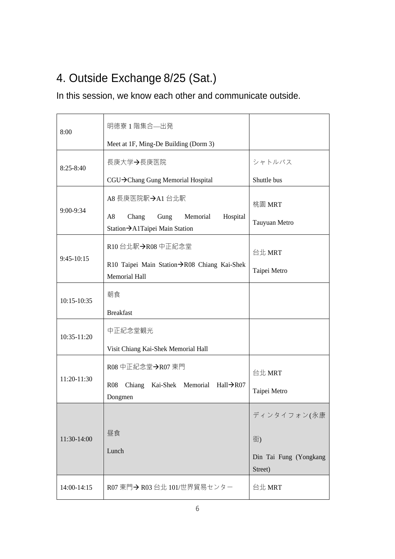## 4. Outside Exchange 8/25 (Sat.)

### In this session, we know each other and communicate outside.

| 8:00          | 明徳寮1階集合—出発                                                                   |                                   |
|---------------|------------------------------------------------------------------------------|-----------------------------------|
|               | Meet at 1F, Ming-De Building (Dorm 3)                                        |                                   |
| $8:25 - 8:40$ | 長庚大学→長庚医院                                                                    | シャトルバス                            |
|               | CGU→Chang Gung Memorial Hospital                                             | Shuttle bus                       |
| $9:00-9:34$   | A8 長庚医院駅→A1 台北駅                                                              | 桃園 MRT                            |
|               | A8<br>Chang<br>Gung<br>Memorial<br>Hospital<br>Station→A1Taipei Main Station | Tauyuan Metro                     |
| $9:45-10:15$  | R10台北駅→R08中正紀念堂                                                              | 台北 MRT                            |
|               | R10 Taipei Main Station→R08 Chiang Kai-Shek<br><b>Memorial Hall</b>          | Taipei Metro                      |
| 10:15-10:35   | 朝食                                                                           |                                   |
|               | <b>Breakfast</b>                                                             |                                   |
| 10:35-11:20   | 中正紀念堂観光                                                                      |                                   |
|               | Visit Chiang Kai-Shek Memorial Hall                                          |                                   |
| 11:20-11:30   | R08 中正紀念堂→R07 東門                                                             | 台北 MRT                            |
|               | Kai-Shek Memorial Hall $\rightarrow$ R07<br><b>R08</b><br>Chiang<br>Dongmen  | Taipei Metro                      |
|               |                                                                              | ディンタイフォン(永康                       |
| 11:30-14:00   | 昼食                                                                           | 街)                                |
|               | Lunch                                                                        | Din Tai Fung (Yongkang<br>Street) |
| 14:00-14:15   | R07 東門→ R03 台北 101/世界貿易センター                                                  | 台北 MRT                            |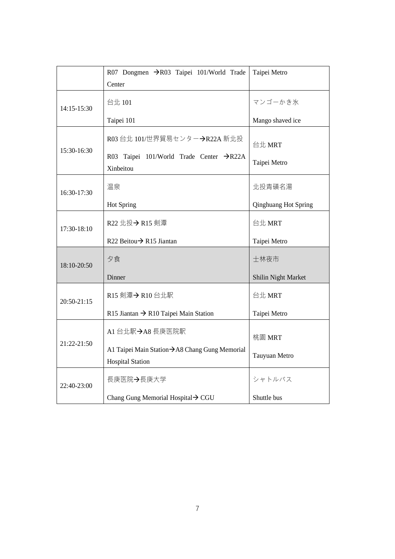|                 | R07 Dongmen → R03 Taipei 101/World Trade                                  | Taipei Metro                |
|-----------------|---------------------------------------------------------------------------|-----------------------------|
|                 | Center                                                                    |                             |
| 14:15-15:30     | 台北 101                                                                    | マンゴーかき氷                     |
|                 | Taipei 101                                                                | Mango shaved ice            |
| $15:30-16:30$   | R03台北 101/世界貿易センター→R22A 新北投                                               | 台北 MRT                      |
|                 | Taipei 101/World Trade Center $\rightarrow$ R22A<br>R03<br>Xinbeitou      | Taipei Metro                |
| 16:30-17:30     | 温泉                                                                        | 北投青磺名湯                      |
|                 | Hot Spring                                                                | <b>Qinghuang Hot Spring</b> |
| 17:30-18:10     | R22 北投→ R15 剣潭                                                            | 台北 MRT                      |
|                 | R22 Beitou→ R15 Jiantan                                                   | Taipei Metro                |
| 18:10-20:50     | 夕食                                                                        | 士林夜市                        |
|                 | Dinner                                                                    | Shilin Night Market         |
| $20:50 - 21:15$ | R15 剣潭→ R10台北駅                                                            | 台北 MRT                      |
|                 | R15 Jiantan $\rightarrow$ R10 Taipei Main Station                         | Taipei Metro                |
| 21:22-21:50     | A1 台北駅→A8 長庚医院駅                                                           | 桃園 MRT                      |
|                 | A1 Taipei Main Station→ A8 Chang Gung Memorial<br><b>Hospital Station</b> | Tauyuan Metro               |
| 22:40-23:00     | 長庚医院→長庚大学                                                                 | シャトルバス                      |
|                 | Chang Gung Memorial Hospital → CGU                                        | Shuttle bus                 |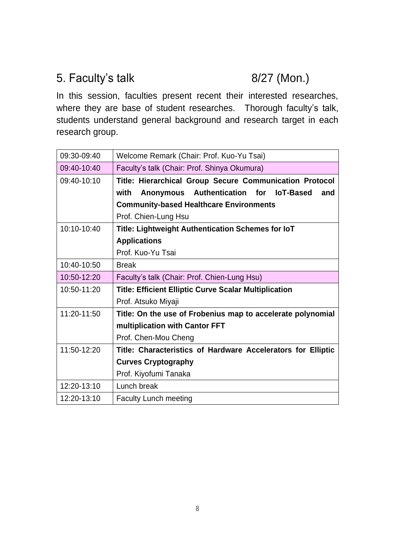## 5. Faculty's talk 8/27 (Mon.)

In this session, faculties present recent their interested researches, where they are base of student researches. Thorough faculty's talk, students understand general background and research target in each research group.

| 09:30-09:40 | Welcome Remark (Chair: Prof. Kuo-Yu Tsai)                    |
|-------------|--------------------------------------------------------------|
| 09:40-10:40 | Faculty's talk (Chair: Prof. Shinya Okumura)                 |
| 09:40-10:10 | Title: Hierarchical Group Secure Communication Protocol      |
|             | with Anonymous Authentication for<br><b>IoT-Based</b><br>and |
|             | <b>Community-based Healthcare Environments</b>               |
|             | Prof. Chien-Lung Hsu                                         |
| 10:10-10:40 | Title: Lightweight Authentication Schemes for IoT            |
|             | <b>Applications</b>                                          |
|             | Prof. Kuo-Yu Tsai                                            |
| 10:40-10:50 | <b>Break</b>                                                 |
| 10:50-12:20 | Faculty's talk (Chair: Prof. Chien-Lung Hsu)                 |
| 10:50-11:20 | <b>Title: Efficient Elliptic Curve Scalar Multiplication</b> |
|             | Prof. Atsuko Miyaji                                          |
| 11:20-11:50 | Title: On the use of Frobenius map to accelerate polynomial  |
|             | multiplication with Cantor FFT                               |
|             | Prof. Chen-Mou Cheng                                         |
| 11:50-12:20 | Title: Characteristics of Hardware Accelerators for Elliptic |
|             | <b>Curves Cryptography</b>                                   |
|             | Prof. Kiyofumi Tanaka                                        |
| 12:20-13:10 | Lunch break                                                  |
| 12:20-13:10 | <b>Faculty Lunch meeting</b>                                 |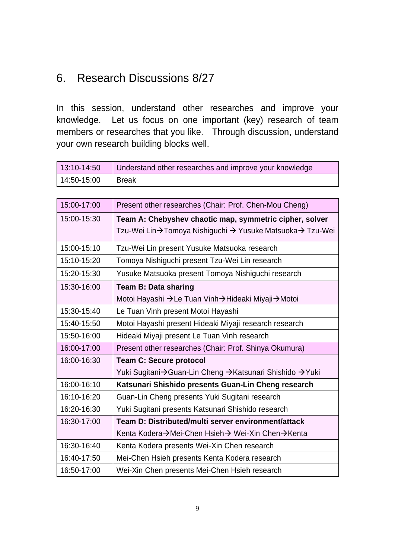## 6. Research Discussions 8/27

In this session, understand other researches and improve your knowledge. Let us focus on one important (key) research of team members or researches that you like. Through discussion, understand your own research building blocks well.

| 13:10-14:50 | Understand other researches and improve your knowledge |
|-------------|--------------------------------------------------------|
| 14:50-15:00 | I Break                                                |

| 15:00-17:00 | Present other researches (Chair: Prof. Chen-Mou Cheng)   |
|-------------|----------------------------------------------------------|
| 15:00-15:30 | Team A: Chebyshev chaotic map, symmetric cipher, solver  |
|             | Tzu-Wei Lin→Tomoya Nishiguchi → Yusuke Matsuoka→ Tzu-Wei |
| 15:00-15:10 | Tzu-Wei Lin present Yusuke Matsuoka research             |
| 15:10-15:20 | Tomoya Nishiguchi present Tzu-Wei Lin research           |
| 15:20-15:30 | Yusuke Matsuoka present Tomoya Nishiguchi research       |
| 15:30-16:00 | <b>Team B: Data sharing</b>                              |
|             | Motoi Hayashi →Le Tuan Vinh→Hideaki Miyaji→Motoi         |
| 15:30-15:40 | Le Tuan Vinh present Motoi Hayashi                       |
| 15:40-15:50 | Motoi Hayashi present Hideaki Miyaji research research   |
| 15:50-16:00 | Hideaki Miyaji present Le Tuan Vinh research             |
| 16:00-17:00 | Present other researches (Chair: Prof. Shinya Okumura)   |
| 16:00-16:30 | <b>Team C: Secure protocol</b>                           |
|             | Yuki Sugitani→Guan-Lin Cheng →Katsunari Shishido →Yuki   |
| 16:00-16:10 | Katsunari Shishido presents Guan-Lin Cheng research      |
| 16:10-16:20 | Guan-Lin Cheng presents Yuki Sugitani research           |
| 16:20-16:30 | Yuki Sugitani presents Katsunari Shishido research       |
| 16:30-17:00 | Team D: Distributed/multi server environment/attack      |
|             | Kenta Kodera→Mei-Chen Hsieh→ Wei-Xin Chen→Kenta          |
| 16:30-16:40 | Kenta Kodera presents Wei-Xin Chen research              |
| 16:40-17:50 | Mei-Chen Hsieh presents Kenta Kodera research            |
| 16:50-17:00 | Wei-Xin Chen presents Mei-Chen Hsieh research            |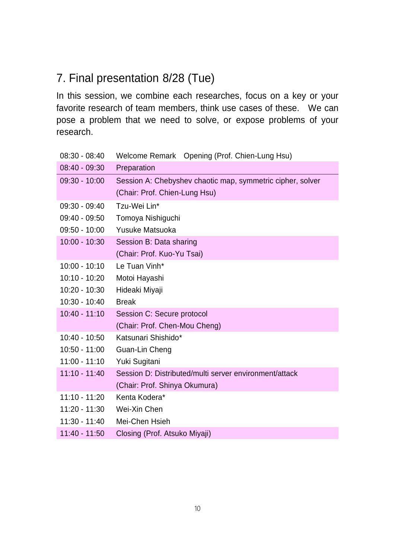## 7. Final presentation 8/28 (Tue)

In this session, we combine each researches, focus on a key or your favorite research of team members, think use cases of these. We can pose a problem that we need to solve, or expose problems of your research.

| $08:30 - 08:40$ | Welcome Remark Opening (Prof. Chien-Lung Hsu)              |
|-----------------|------------------------------------------------------------|
| $08:40 - 09:30$ | Preparation                                                |
| $09:30 - 10:00$ | Session A: Chebyshev chaotic map, symmetric cipher, solver |
|                 | (Chair: Prof. Chien-Lung Hsu)                              |
| $09:30 - 09:40$ | Tzu-Wei Lin*                                               |
| $09:40 - 09:50$ | Tomoya Nishiguchi                                          |
| $09:50 - 10:00$ | Yusuke Matsuoka                                            |
| $10:00 - 10:30$ | Session B: Data sharing                                    |
|                 | (Chair: Prof. Kuo-Yu Tsai)                                 |
| $10:00 - 10:10$ | Le Tuan Vinh*                                              |
| $10:10 - 10:20$ | Motoi Hayashi                                              |
| $10:20 - 10:30$ | Hideaki Miyaji                                             |
| $10:30 - 10:40$ | <b>Break</b>                                               |
| $10:40 - 11:10$ | Session C: Secure protocol                                 |
|                 | (Chair: Prof. Chen-Mou Cheng)                              |
| $10:40 - 10:50$ | Katsunari Shishido*                                        |
| $10:50 - 11:00$ | Guan-Lin Cheng                                             |
| $11:00 - 11:10$ | Yuki Sugitani                                              |
| $11:10 - 11:40$ | Session D: Distributed/multi server environment/attack     |
|                 | (Chair: Prof. Shinya Okumura)                              |
| $11:10 - 11:20$ | Kenta Kodera*                                              |
| $11:20 - 11:30$ | Wei-Xin Chen                                               |
| $11:30 - 11:40$ | Mei-Chen Hsieh                                             |
| $11:40 - 11:50$ | Closing (Prof. Atsuko Miyaji)                              |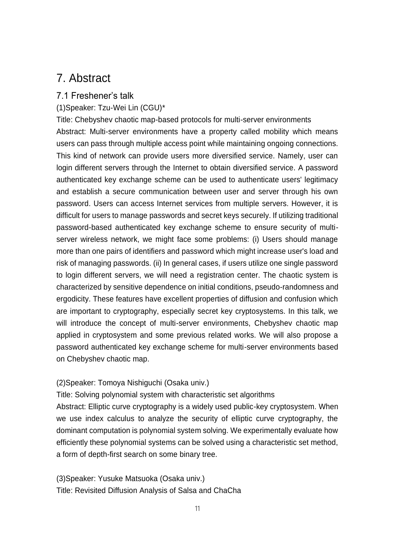### 7. Abstract

#### 7.1 Freshener's talk

(1)Speaker: Tzu-Wei Lin (CGU)\*

Title: Chebyshev chaotic map-based protocols for multi-server environments Abstract: Multi-server environments have a property called mobility which means users can pass through multiple access point while maintaining ongoing connections. This kind of network can provide users more diversified service. Namely, user can login different servers through the Internet to obtain diversified service. A password authenticated key exchange scheme can be used to authenticate users' legitimacy and establish a secure communication between user and server through his own password. Users can access Internet services from multiple servers. However, it is difficult for users to manage passwords and secret keys securely. If utilizing traditional password-based authenticated key exchange scheme to ensure security of multiserver wireless network, we might face some problems: (i) Users should manage more than one pairs of identifiers and password which might increase user's load and risk of managing passwords. (ii) In general cases, if users utilize one single password to login different servers, we will need a registration center. The chaotic system is characterized by sensitive dependence on initial conditions, pseudo-randomness and ergodicity. These features have excellent properties of diffusion and confusion which are important to cryptography, especially secret key cryptosystems. In this talk, we will introduce the concept of multi-server environments, Chebyshev chaotic map applied in cryptosystem and some previous related works. We will also propose a password authenticated key exchange scheme for multi-server environments based on Chebyshev chaotic map.

(2)Speaker: Tomoya Nishiguchi (Osaka univ.)

Title: Solving polynomial system with characteristic set algorithms

Abstract: Elliptic curve cryptography is a widely used public-key cryptosystem. When we use index calculus to analyze the security of elliptic curve cryptography, the dominant computation is polynomial system solving. We experimentally evaluate how efficiently these polynomial systems can be solved using a characteristic set method, a form of depth-first search on some binary tree.

(3)Speaker: Yusuke Matsuoka (Osaka univ.) Title: Revisited Diffusion Analysis of Salsa and ChaCha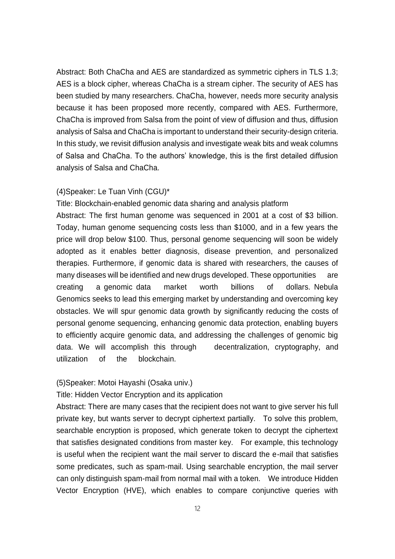Abstract: Both ChaCha and AES are standardized as symmetric ciphers in TLS 1.3; AES is a block cipher, whereas ChaCha is a stream cipher. The security of AES has been studied by many researchers. ChaCha, however, needs more security analysis because it has been proposed more recently, compared with AES. Furthermore, ChaCha is improved from Salsa from the point of view of diffusion and thus, diffusion analysis of Salsa and ChaCha is important to understand their security-design criteria. In this study, we revisit diffusion analysis and investigate weak bits and weak columns of Salsa and ChaCha. To the authors' knowledge, this is the first detailed diffusion analysis of Salsa and ChaCha.

#### (4)Speaker: Le Tuan Vinh (CGU)\*

Title: Blockchain-enabled genomic data sharing and analysis platform Abstract: The first human genome was sequenced in 2001 at a cost of \$3 billion. Today, human genome sequencing costs less than \$1000, and in a few years the price will drop below \$100. Thus, personal genome sequencing will soon be widely adopted as it enables better diagnosis, disease prevention, and personalized therapies. Furthermore, if genomic data is shared with researchers, the causes of many diseases will be identified and new drugs developed. These opportunities are creating a genomic data market worth billions of dollars. Nebula Genomics seeks to lead this emerging market by understanding and overcoming key obstacles. We will spur genomic data growth by significantly reducing the costs of personal genome sequencing, enhancing genomic data protection, enabling buyers to efficiently acquire genomic data, and addressing the challenges of genomic big data. We will accomplish this through decentralization, cryptography, and utilization of the blockchain.

#### (5)Speaker: Motoi Hayashi (Osaka univ.)

#### Title: Hidden Vector Encryption and its application

Abstract: There are many cases that the recipient does not want to give server his full private key, but wants server to decrypt ciphertext partially. To solve this problem, searchable encryption is proposed, which generate token to decrypt the ciphertext that satisfies designated conditions from master key. For example, this technology is useful when the recipient want the mail server to discard the e-mail that satisfies some predicates, such as spam-mail. Using searchable encryption, the mail server can only distinguish spam-mail from normal mail with a token. We introduce Hidden Vector Encryption (HVE), which enables to compare conjunctive queries with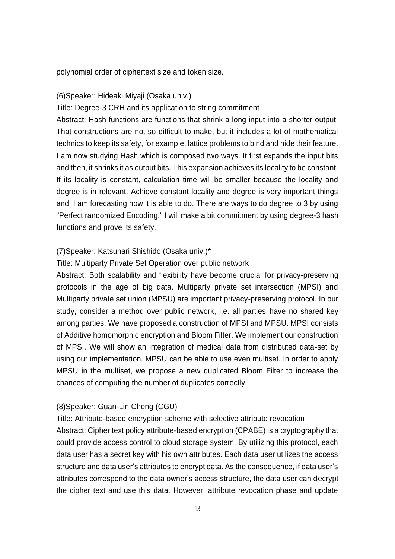polynomial order of ciphertext size and token size.

#### (6)Speaker: Hideaki Miyaji (Osaka univ.)

Title: Degree-3 CRH and its application to string commitment

Abstract: Hash functions are functions that shrink a long input into a shorter output. That constructions are not so difficult to make, but it includes a lot of mathematical technics to keep its safety, for example, lattice problems to bind and hide their feature. I am now studying Hash which is composed two ways. It first expands the input bits and then, it shrinks it as output bits. This expansion achieves its locality to be constant. If its locality is constant, calculation time will be smaller because the locality and degree is in relevant. Achieve constant locality and degree is very important things and, I am forecasting how it is able to do. There are ways to do degree to 3 by using "Perfect randomized Encoding." I will make a bit commitment by using degree-3 hash functions and prove its safety.

#### (7)Speaker: Katsunari Shishido (Osaka univ.)\*

#### Title: Multiparty Private Set Operation over public network

Abstract: Both scalability and flexibility have become crucial for privacy-preserving protocols in the age of big data. Multiparty private set intersection (MPSI) and Multiparty private set union (MPSU) are important privacy-preserving protocol. In our study, consider a method over public network, i.e. all parties have no shared key among parties. We have proposed a construction of MPSI and MPSU. MPSI consists of Additive homomorphic encryption and Bloom Filter. We implement our construction of MPSI. We will show an integration of medical data from distributed data-set by using our implementation. MPSU can be able to use even multiset. In order to apply MPSU in the multiset, we propose a new duplicated Bloom Filter to increase the chances of computing the number of duplicates correctly.

#### (8)Speaker: Guan-Lin Cheng (CGU)

Title: Attribute-based encryption scheme with selective attribute revocation

Abstract: Cipher text policy attribute-based encryption (CPABE) is a cryptography that could provide access control to cloud storage system. By utilizing this protocol, each data user has a secret key with his own attributes. Each data user utilizes the access structure and data user's attributes to encrypt data. As the consequence, if data user's attributes correspond to the data owner's access structure, the data user can decrypt the cipher text and use this data. However, attribute revocation phase and update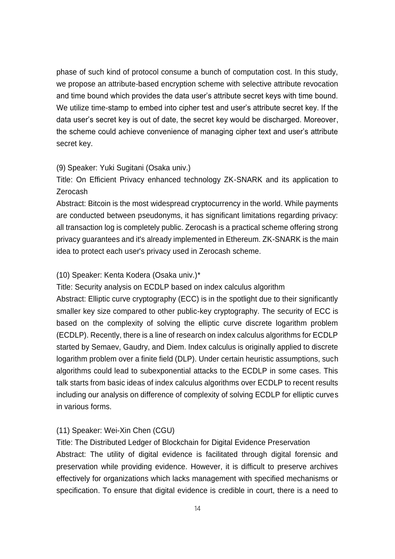phase of such kind of protocol consume a bunch of computation cost. In this study, we propose an attribute-based encryption scheme with selective attribute revocation and time bound which provides the data user's attribute secret keys with time bound. We utilize time-stamp to embed into cipher test and user's attribute secret key. If the data user's secret key is out of date, the secret key would be discharged. Moreover, the scheme could achieve convenience of managing cipher text and user's attribute secret key.

#### (9) Speaker: Yuki Sugitani (Osaka univ.)

Title: On Efficient Privacy enhanced technology ZK-SNARK and its application to Zerocash

Abstract: Bitcoin is the most widespread cryptocurrency in the world. While payments are conducted between pseudonyms, it has significant limitations regarding privacy: all transaction log is completely public. Zerocash is a practical scheme offering strong privacy guarantees and it's already implemented in Ethereum. ZK-SNARK is the main idea to protect each user's privacy used in Zerocash scheme.

#### (10) Speaker: Kenta Kodera (Osaka univ.)\*

Title: Security analysis on ECDLP based on index calculus algorithm

Abstract: Elliptic curve cryptography (ECC) is in the spotlight due to their significantly smaller key size compared to other public-key cryptography. The security of ECC is based on the complexity of solving the elliptic curve discrete logarithm problem (ECDLP). Recently, there is a line of research on index calculus algorithms for ECDLP started by Semaev, Gaudry, and Diem. Index calculus is originally applied to discrete logarithm problem over a finite field (DLP). Under certain heuristic assumptions, such algorithms could lead to subexponential attacks to the ECDLP in some cases. This talk starts from basic ideas of index calculus algorithms over ECDLP to recent results including our analysis on difference of complexity of solving ECDLP for elliptic curves in various forms.

#### (11) Speaker: Wei-Xin Chen (CGU)

Title: The Distributed Ledger of Blockchain for Digital Evidence Preservation Abstract: The utility of digital evidence is facilitated through digital forensic and preservation while providing evidence. However, it is difficult to preserve archives effectively for organizations which lacks management with specified mechanisms or specification. To ensure that digital evidence is credible in court, there is a need to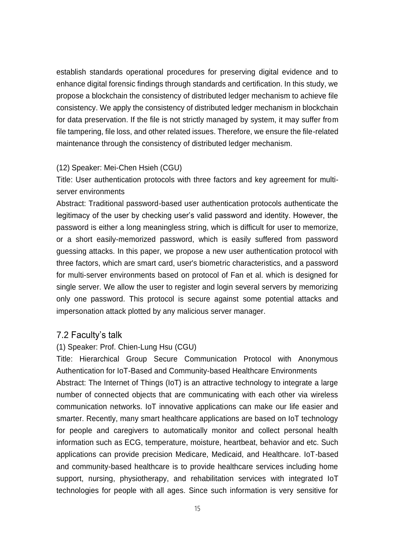establish standards operational procedures for preserving digital evidence and to enhance digital forensic findings through standards and certification. In this study, we propose a blockchain the consistency of distributed ledger mechanism to achieve file consistency. We apply the consistency of distributed ledger mechanism in blockchain for data preservation. If the file is not strictly managed by system, it may suffer from file tampering, file loss, and other related issues. Therefore, we ensure the file-related maintenance through the consistency of distributed ledger mechanism.

#### (12) Speaker: Mei-Chen Hsieh (CGU)

Title: User authentication protocols with three factors and key agreement for multiserver environments

Abstract: Traditional password-based user authentication protocols authenticate the legitimacy of the user by checking user's valid password and identity. However, the password is either a long meaningless string, which is difficult for user to memorize, or a short easily-memorized password, which is easily suffered from password guessing attacks. In this paper, we propose a new user authentication protocol with three factors, which are smart card, user's biometric characteristics, and a password for multi-server environments based on protocol of Fan et al. which is designed for single server. We allow the user to register and login several servers by memorizing only one password. This protocol is secure against some potential attacks and impersonation attack plotted by any malicious server manager.

#### 7.2 Faculty's talk

#### (1) Speaker: Prof. Chien-Lung Hsu (CGU)

Title: Hierarchical Group Secure Communication Protocol with Anonymous Authentication for IoT-Based and Community-based Healthcare Environments Abstract: The Internet of Things (IoT) is an attractive technology to integrate a large number of connected objects that are communicating with each other via wireless communication networks. IoT innovative applications can make our life easier and smarter. Recently, many smart healthcare applications are based on IoT technology for people and caregivers to automatically monitor and collect personal health information such as ECG, temperature, moisture, heartbeat, behavior and etc. Such applications can provide precision Medicare, Medicaid, and Healthcare. IoT-based and community-based healthcare is to provide healthcare services including home support, nursing, physiotherapy, and rehabilitation services with integrated IoT technologies for people with all ages. Since such information is very sensitive for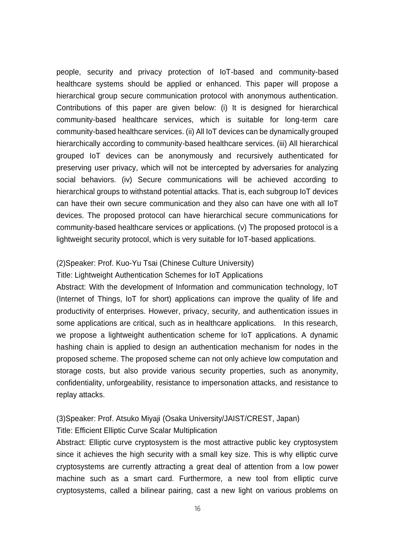people, security and privacy protection of IoT-based and community-based healthcare systems should be applied or enhanced. This paper will propose a hierarchical group secure communication protocol with anonymous authentication. Contributions of this paper are given below: (i) It is designed for hierarchical community-based healthcare services, which is suitable for long-term care community-based healthcare services. (ii) All IoT devices can be dynamically grouped hierarchically according to community-based healthcare services. (iii) All hierarchical grouped IoT devices can be anonymously and recursively authenticated for preserving user privacy, which will not be intercepted by adversaries for analyzing social behaviors. (iv) Secure communications will be achieved according to hierarchical groups to withstand potential attacks. That is, each subgroup IoT devices can have their own secure communication and they also can have one with all IoT devices. The proposed protocol can have hierarchical secure communications for community-based healthcare services or applications. (v) The proposed protocol is a lightweight security protocol, which is very suitable for IoT-based applications.

#### (2)Speaker: Prof. Kuo-Yu Tsai (Chinese Culture University)

#### Title: Lightweight Authentication Schemes for IoT Applications

Abstract: With the development of Information and communication technology, IoT (Internet of Things, IoT for short) applications can improve the quality of life and productivity of enterprises. However, privacy, security, and authentication issues in some applications are critical, such as in healthcare applications. In this research, we propose a lightweight authentication scheme for IoT applications. A dynamic hashing chain is applied to design an authentication mechanism for nodes in the proposed scheme. The proposed scheme can not only achieve low computation and storage costs, but also provide various security properties, such as anonymity, confidentiality, unforgeability, resistance to impersonation attacks, and resistance to replay attacks.

#### (3)Speaker: Prof. Atsuko Miyaji (Osaka University/JAIST/CREST, Japan)

#### Title: Efficient Elliptic Curve Scalar Multiplication

Abstract: Elliptic curve cryptosystem is the most attractive public key cryptosystem since it achieves the high security with a small key size. This is why elliptic curve cryptosystems are currently attracting a great deal of attention from a low power machine such as a smart card. Furthermore, a new tool from elliptic curve cryptosystems, called a bilinear pairing, cast a new light on various problems on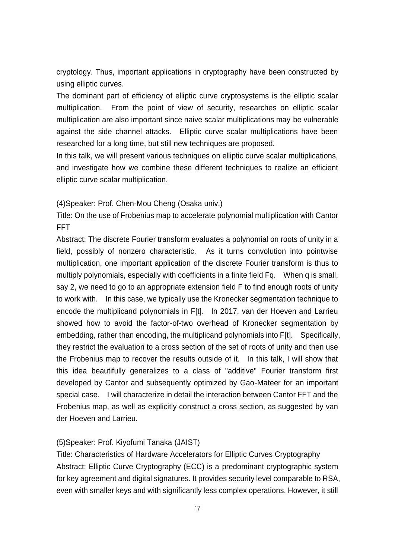cryptology. Thus, important applications in cryptography have been constructed by using elliptic curves.

The dominant part of efficiency of elliptic curve cryptosystems is the elliptic scalar multiplication. From the point of view of security, researches on elliptic scalar multiplication are also important since naive scalar multiplications may be vulnerable against the side channel attacks. Elliptic curve scalar multiplications have been researched for a long time, but still new techniques are proposed.

In this talk, we will present various techniques on elliptic curve scalar multiplications, and investigate how we combine these different techniques to realize an efficient elliptic curve scalar multiplication.

#### (4)Speaker: Prof. Chen-Mou Cheng (Osaka univ.)

Title: On the use of Frobenius map to accelerate polynomial multiplication with Cantor FFT

Abstract: The discrete Fourier transform evaluates a polynomial on roots of unity in a field, possibly of nonzero characteristic. As it turns convolution into pointwise multiplication, one important application of the discrete Fourier transform is thus to multiply polynomials, especially with coefficients in a finite field Fq. When q is small, say 2, we need to go to an appropriate extension field F to find enough roots of unity to work with. In this case, we typically use the Kronecker segmentation technique to encode the multiplicand polynomials in F[t]. In 2017, van der Hoeven and Larrieu showed how to avoid the factor-of-two overhead of Kronecker segmentation by embedding, rather than encoding, the multiplicand polynomials into F[t]. Specifically, they restrict the evaluation to a cross section of the set of roots of unity and then use the Frobenius map to recover the results outside of it. In this talk, I will show that this idea beautifully generalizes to a class of "additive" Fourier transform first developed by Cantor and subsequently optimized by Gao-Mateer for an important special case. I will characterize in detail the interaction between Cantor FFT and the Frobenius map, as well as explicitly construct a cross section, as suggested by van der Hoeven and Larrieu.

#### (5)Speaker: Prof. Kiyofumi Tanaka (JAIST)

Title: Characteristics of Hardware Accelerators for Elliptic Curves Cryptography Abstract: Elliptic Curve Cryptography (ECC) is a predominant cryptographic system for key agreement and digital signatures. It provides security level comparable to RSA, even with smaller keys and with significantly less complex operations. However, it still